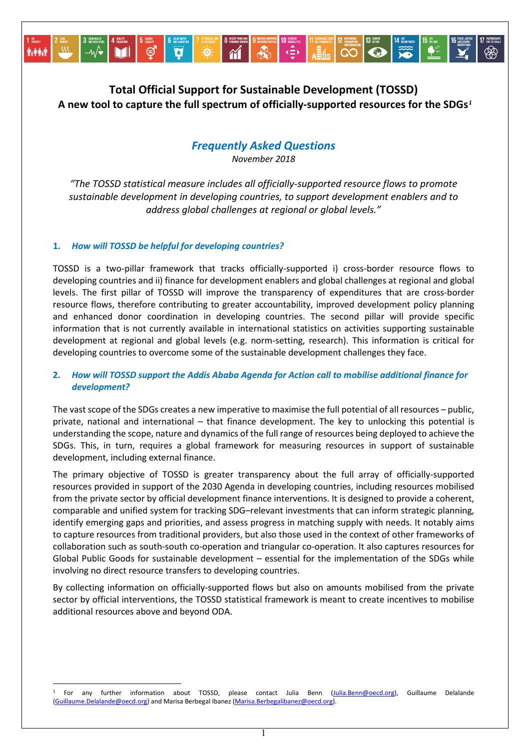# **Total Official Support for Sustainable Development (TOSSD) A new tool to capture the full spectrum of officially-supported resources for the SDGs***[1](#page-0-0)*

## *Frequently Asked Questions*

*November 2018*

*"The TOSSD statistical measure includes all officially-supported resource flows to promote sustainable development in developing countries, to support development enablers and to address global challenges at regional or global levels."*

## **1.** *How will TOSSD be helpful for developing countries?*

 $\ddot{\phantom{a}}$ 

iyaa i

TOSSD is a two-pillar framework that tracks officially-supported i) cross-border resource flows to developing countries and ii) finance for development enablers and global challenges at regional and global levels. The first pillar of TOSSD will improve the transparency of expenditures that are cross-border resource flows, therefore contributing to greater accountability, improved development policy planning and enhanced donor coordination in developing countries. The second pillar will provide specific information that is not currently available in international statistics on activities supporting sustainable development at regional and global levels (e.g. norm-setting, research). This information is critical for developing countries to overcome some of the sustainable development challenges they face.

## **2.** *How will TOSSD support the Addis Ababa Agenda for Action call to mobilise additional finance for development?*

The vast scope of the SDGs creates a new imperative to maximise the full potential of all resources – public, private, national and international – that finance development. The key to unlocking this potential is understanding the scope, nature and dynamics of the full range of resources being deployed to achieve the SDGs. This, in turn, requires a global framework for measuring resources in support of sustainable development, including external finance.

The primary objective of TOSSD is greater transparency about the full array of officially-supported resources provided in support of the 2030 Agenda in developing countries, including resources mobilised from the private sector by official development finance interventions. It is designed to provide a coherent, comparable and unified system for tracking SDG–relevant investments that can inform strategic planning, identify emerging gaps and priorities, and assess progress in matching supply with needs. It notably aims to capture resources from traditional providers, but also those used in the context of other frameworks of collaboration such as south-south co-operation and triangular co-operation. It also captures resources for Global Public Goods for sustainable development – essential for the implementation of the SDGs while involving no direct resource transfers to developing countries.

By collecting information on officially-supported flows but also on amounts mobilised from the private sector by official interventions, the TOSSD statistical framework is meant to create incentives to mobilise additional resources above and beyond ODA.

1

<span id="page-0-0"></span><sup>&</sup>lt;sup>1</sup> For any further information about TOSSD, please contact Julia Benn [\(Julia.Benn@oecd.org\),](mailto:Julia.Benn@oecd.org) Guillaume Delalande [\(Guillaume.Delalande@oecd.org\)](mailto:Guillaume.Delalande@oecd.org) and Marisa Berbegal Ibanez [\(Marisa.Berbegalibanez@oecd.org\)](mailto:Marisa.Berbegalibanez@oecd.org).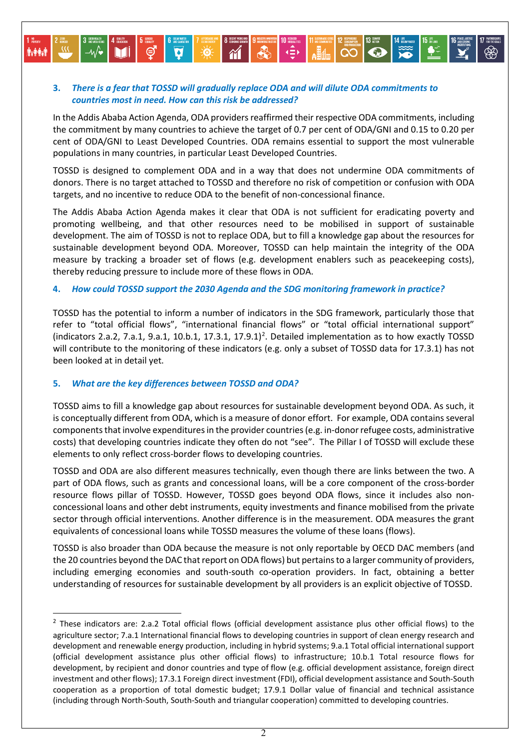## **3.** *There is a fear that TOSSD will gradually replace ODA and will dilute ODA commitments to countries most in need. How can this risk be addressed?*

In the Addis Ababa Action Agenda, ODA providers reaffirmed their respective ODA commitments, including the commitment by many countries to achieve the target of 0.7 per cent of ODA/GNI and 0.15 to 0.20 per cent of ODA/GNI to Least Developed Countries. ODA remains essential to support the most vulnerable populations in many countries, in particular Least Developed Countries.

**1 6 GALICULUS | 2 ANNE DE LA CARRIE DE LA CARRIE DE LA CARRIE DE LA CARRIE DE LA CARRIE DE LA CARRIE DE LA CARRIE DE LA CARRIE DE LA CARRIE DE LA CARRIE DE LA CARRIE DE LA CARRIE DE LA CARRIE DE LA CARRIE DE LA CARRIE DE** 

TOSSD is designed to complement ODA and in a way that does not undermine ODA commitments of donors. There is no target attached to TOSSD and therefore no risk of competition or confusion with ODA targets, and no incentive to reduce ODA to the benefit of non-concessional finance.

The Addis Ababa Action Agenda makes it clear that ODA is not sufficient for eradicating poverty and promoting wellbeing, and that other resources need to be mobilised in support of sustainable development. The aim of TOSSD is not to replace ODA, but to fill a knowledge gap about the resources for sustainable development beyond ODA. Moreover, TOSSD can help maintain the integrity of the ODA measure by tracking a broader set of flows (e.g. development enablers such as peacekeeping costs), thereby reducing pressure to include more of these flows in ODA.

#### **4.** *How could TOSSD support the 2030 Agenda and the SDG monitoring framework in practice?*

TOSSD has the potential to inform a number of indicators in the SDG framework, particularly those that refer to "total official flows", "international financial flows" or "total official international support" (indicators [2](#page-1-0).a.2, 7.a.1, 9.a.1, 10.b.1, 17.3.1, 17.9.1)<sup>2</sup>. Detailed implementation as to how exactly TOSSD will contribute to the monitoring of these indicators (e.g. only a subset of TOSSD data for 17.3.1) has not been looked at in detail yet.

#### **5.** *What are the key differences between TOSSD and ODA?*

**DESPERTEN** 

**İver**i

 $\overline{a}$ 

TOSSD aims to fill a knowledge gap about resources for sustainable development beyond ODA. As such, it is conceptually different from ODA, which is a measure of donor effort. For example, ODA contains several components that involve expenditures in the provider countries (e.g. in-donor refugee costs, administrative costs) that developing countries indicate they often do not "see". The Pillar I of TOSSD will exclude these elements to only reflect cross-border flows to developing countries.

TOSSD and ODA are also different measures technically, even though there are links between the two. A part of ODA flows, such as grants and concessional loans, will be a core component of the cross-border resource flows pillar of TOSSD. However, TOSSD goes beyond ODA flows, since it includes also nonconcessional loans and other debt instruments, equity investments and finance mobilised from the private sector through official interventions. Another difference is in the measurement. ODA measures the grant equivalents of concessional loans while TOSSD measures the volume of these loans (flows).

TOSSD is also broader than ODA because the measure is not only reportable by OECD DAC members (and the 20 countries beyond the DAC that report on ODA flows) but pertains to a larger community of providers, including emerging economies and south-south co-operation providers. In fact, obtaining a better understanding of resources for sustainable development by all providers is an explicit objective of TOSSD.

<span id="page-1-0"></span> $2$  These indicators are: 2.a.2 Total official flows (official development assistance plus other official flows) to the agriculture sector; 7.a.1 International financial flows to developing countries in support of clean energy research and development and renewable energy production, including in hybrid systems; 9.a.1 Total official international support (official development assistance plus other official flows) to infrastructure; 10.b.1 Total resource flows for development, by recipient and donor countries and type of flow (e.g. official development assistance, foreign direct investment and other flows); 17.3.1 Foreign direct investment (FDI), official development assistance and South-South cooperation as a proportion of total domestic budget; 17.9.1 Dollar value of financial and technical assistance (including through North-South, South-South and triangular cooperation) committed to developing countries.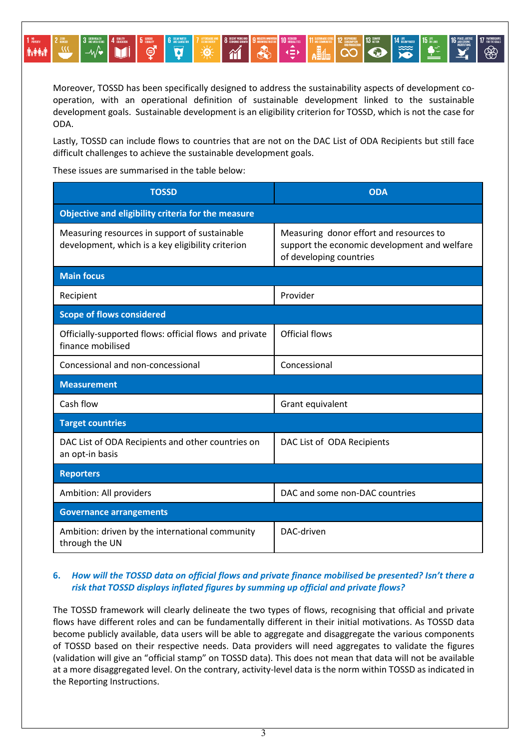Moreover, TOSSD has been specifically designed to address the sustainability aspects of development cooperation, with an operational definition of sustainable development linked to the sustainable development goals. Sustainable development is an eligibility criterion for TOSSD, which is not the case for ODA.

 $\frac{1}{\sqrt{2}}$ 

P

 $\left\| \bigotimes^{12} \bigotimes^{12} \bigotimes^{12}$ 

**ID ACTION** 

Lastly, TOSSD can include flows to countries that are not on the DAC List of ODA Recipients but still face difficult challenges to achieve the sustainable development goals.

These issues are summarised in the table below:

**ේ** 

**Aragem** 

| <b>TOSSD</b>                                                                                       | <b>ODA</b>                                                                                                         |
|----------------------------------------------------------------------------------------------------|--------------------------------------------------------------------------------------------------------------------|
| Objective and eligibility criteria for the measure                                                 |                                                                                                                    |
| Measuring resources in support of sustainable<br>development, which is a key eligibility criterion | Measuring donor effort and resources to<br>support the economic development and welfare<br>of developing countries |
| <b>Main focus</b>                                                                                  |                                                                                                                    |
| Recipient                                                                                          | Provider                                                                                                           |
| <b>Scope of flows considered</b>                                                                   |                                                                                                                    |
| Officially-supported flows: official flows and private<br>finance mobilised                        | <b>Official flows</b>                                                                                              |
| Concessional and non-concessional                                                                  | Concessional                                                                                                       |
| <b>Measurement</b>                                                                                 |                                                                                                                    |
| Cash flow                                                                                          | Grant equivalent                                                                                                   |
| <b>Target countries</b>                                                                            |                                                                                                                    |
| DAC List of ODA Recipients and other countries on<br>an opt-in basis                               | DAC List of ODA Recipients                                                                                         |
| <b>Reporters</b>                                                                                   |                                                                                                                    |
| Ambition: All providers                                                                            | DAC and some non-DAC countries                                                                                     |
| <b>Governance arrangements</b>                                                                     |                                                                                                                    |
| Ambition: driven by the international community<br>through the UN                                  | DAC-driven                                                                                                         |

## **6.** *How will the TOSSD data on official flows and private finance mobilised be presented? Isn't there a risk that TOSSD displays inflated figures by summing up official and private flows?*

The TOSSD framework will clearly delineate the two types of flows, recognising that official and private flows have different roles and can be fundamentally different in their initial motivations. As TOSSD data become publicly available, data users will be able to aggregate and disaggregate the various components of TOSSD based on their respective needs. Data providers will need aggregates to validate the figures (validation will give an "official stamp" on TOSSD data). This does not mean that data will not be available at a more disaggregated level. On the contrary, activity-level data is the norm within TOSSD as indicated in the Reporting Instructions.